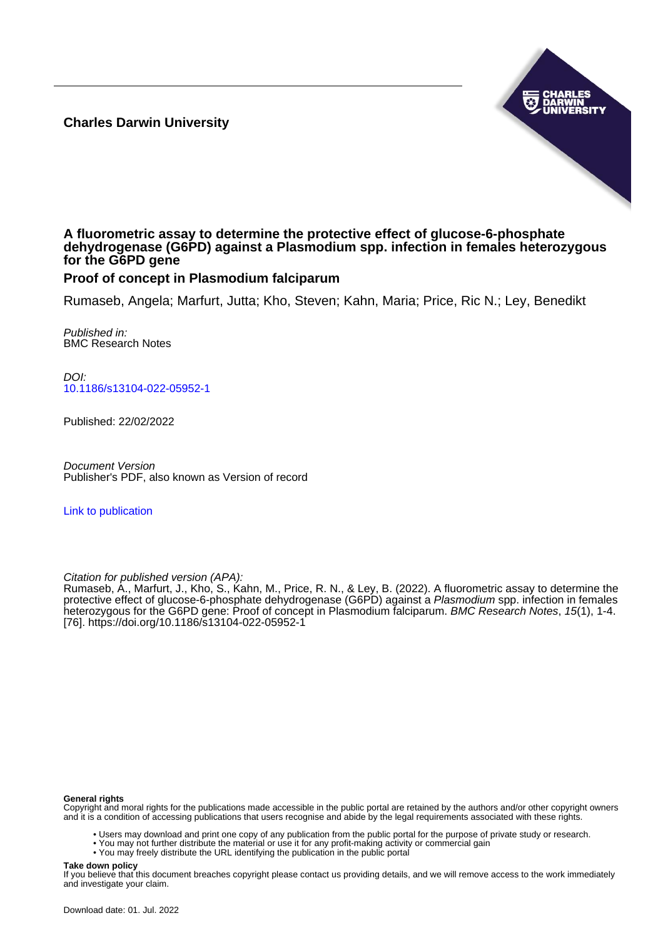**Charles Darwin University**



## **A fluorometric assay to determine the protective effect of glucose-6-phosphate dehydrogenase (G6PD) against a Plasmodium spp. infection in females heterozygous for the G6PD gene**

# **Proof of concept in Plasmodium falciparum**

Rumaseb, Angela; Marfurt, Jutta; Kho, Steven; Kahn, Maria; Price, Ric N.; Ley, Benedikt

Published in: BMC Research Notes

DOI: [10.1186/s13104-022-05952-1](https://doi.org/10.1186/s13104-022-05952-1)

Published: 22/02/2022

Document Version Publisher's PDF, also known as Version of record

[Link to publication](https://researchers.cdu.edu.au/en/publications/f1abff64-1e2d-4130-aac2-657db82f0c39)

Citation for published version (APA):

Rumaseb, A., Marfurt, J., Kho, S., Kahn, M., Price, R. N., & Ley, B. (2022). A fluorometric assay to determine the protective effect of glucose-6-phosphate dehydrogenase (G6PD) against a Plasmodium spp. infection in females heterozygous for the G6PD gene: Proof of concept in Plasmodium falciparum. BMC Research Notes, 15(1), 1-4. [76].<https://doi.org/10.1186/s13104-022-05952-1>

#### **General rights**

Copyright and moral rights for the publications made accessible in the public portal are retained by the authors and/or other copyright owners and it is a condition of accessing publications that users recognise and abide by the legal requirements associated with these rights.

- Users may download and print one copy of any publication from the public portal for the purpose of private study or research.
- You may not further distribute the material or use it for any profit-making activity or commercial gain
- You may freely distribute the URL identifying the publication in the public portal

#### **Take down policy**

If you believe that this document breaches copyright please contact us providing details, and we will remove access to the work immediately and investigate your claim.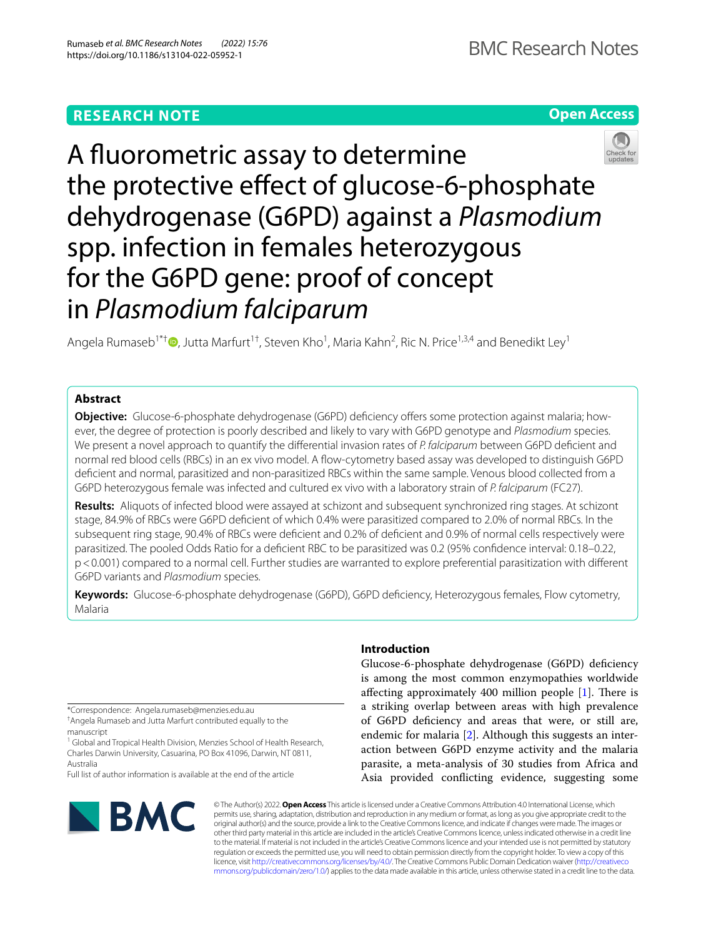# **RESEARCH NOTE**





A fuorometric assay to determine the protective effect of glucose-6-phosphate dehydrogenase (G6PD) against a *Plasmodium* spp. infection in females heterozygous for the G6PD gene: proof of concept in *Plasmodium falciparum*

Angela Rumaseb<sup>1\*†</sup>  $\bullet$ [,](http://orcid.org/0000-0003-3939-0678) Jutta Marfurt<sup>1†</sup>, Steven Kho<sup>1</sup>, Maria Kahn<sup>2</sup>, Ric N. Price<sup>1,3,4</sup> and Benedikt Ley<sup>1</sup>

## **Abstract**

**Objective:** Glucose-6-phosphate dehydrogenase (G6PD) deficiency offers some protection against malaria; however, the degree of protection is poorly described and likely to vary with G6PD genotype and *Plasmodium* species. We present a novel approach to quantify the diferential invasion rates of *P. falciparum* between G6PD defcient and normal red blood cells (RBCs) in an ex vivo model. A fow-cytometry based assay was developed to distinguish G6PD defcient and normal, parasitized and non-parasitized RBCs within the same sample. Venous blood collected from a G6PD heterozygous female was infected and cultured ex vivo with a laboratory strain of *P. falciparum* (FC27).

**Results:** Aliquots of infected blood were assayed at schizont and subsequent synchronized ring stages. At schizont stage, 84.9% of RBCs were G6PD defcient of which 0.4% were parasitized compared to 2.0% of normal RBCs. In the subsequent ring stage, 90.4% of RBCs were defcient and 0.2% of defcient and 0.9% of normal cells respectively were parasitized. The pooled Odds Ratio for a defcient RBC to be parasitized was 0.2 (95% confdence interval: 0.18–0.22, p<0.001) compared to a normal cell. Further studies are warranted to explore preferential parasitization with diferent G6PD variants and *Plasmodium* species.

**Keywords:** Glucose-6-phosphate dehydrogenase (G6PD), G6PD defciency, Heterozygous females, Flow cytometry, Malaria

\*Correspondence: Angela.rumaseb@menzies.edu.au † Angela Rumaseb and Jutta Marfurt contributed equally to the

manuscript

<sup>1</sup> Global and Tropical Health Division, Menzies School of Health Research, Charles Darwin University, Casuarina, PO Box 41096, Darwin, NT 0811, Australia

Full list of author information is available at the end of the article



## **Introduction**

Glucose-6-phosphate dehydrogenase (G6PD) defciency is among the most common enzymopathies worldwide affecting approximately 400 million people  $[1]$  $[1]$ . There is a striking overlap between areas with high prevalence of G6PD defciency and areas that were, or still are, endemic for malaria [[2\]](#page-4-1). Although this suggests an interaction between G6PD enzyme activity and the malaria parasite, a meta-analysis of 30 studies from Africa and Asia provided conficting evidence, suggesting some

© The Author(s) 2022. **Open Access** This article is licensed under a Creative Commons Attribution 4.0 International License, which permits use, sharing, adaptation, distribution and reproduction in any medium or format, as long as you give appropriate credit to the original author(s) and the source, provide a link to the Creative Commons licence, and indicate if changes were made. The images or other third party material in this article are included in the article's Creative Commons licence, unless indicated otherwise in a credit line to the material. If material is not included in the article's Creative Commons licence and your intended use is not permitted by statutory regulation or exceeds the permitted use, you will need to obtain permission directly from the copyright holder. To view a copy of this licence, visit [http://creativecommons.org/licenses/by/4.0/.](http://creativecommons.org/licenses/by/4.0/) The Creative Commons Public Domain Dedication waiver ([http://creativeco](http://creativecommons.org/publicdomain/zero/1.0/) [mmons.org/publicdomain/zero/1.0/](http://creativecommons.org/publicdomain/zero/1.0/)) applies to the data made available in this article, unless otherwise stated in a credit line to the data.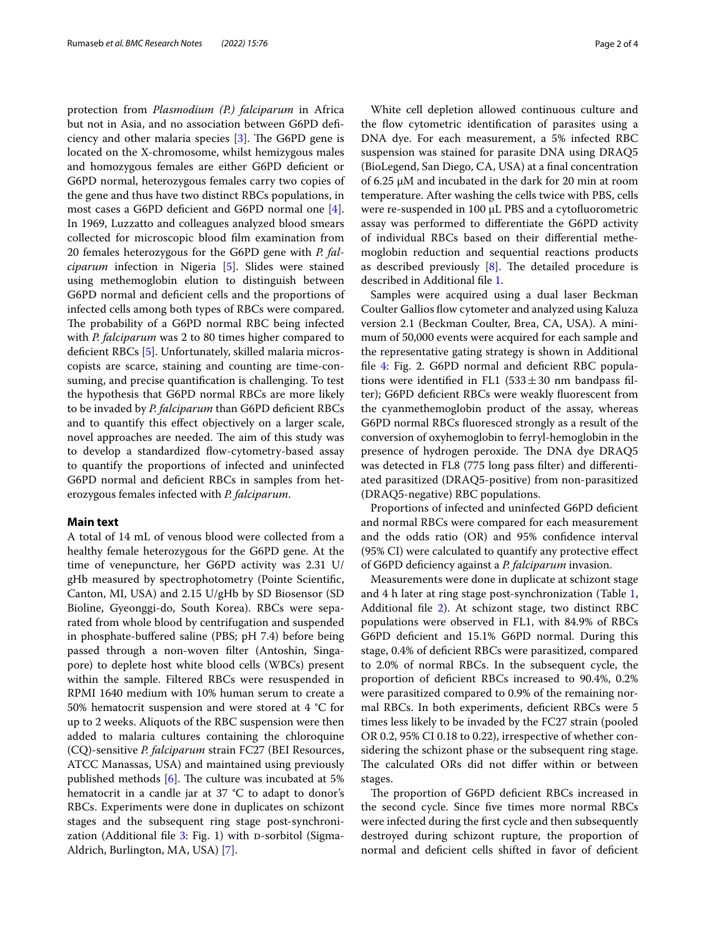protection from *Plasmodium (P.) falciparum* in Africa but not in Asia, and no association between G6PD defciency and other malaria species  $[3]$  $[3]$ . The G6PD gene is located on the X-chromosome, whilst hemizygous males and homozygous females are either G6PD defcient or G6PD normal, heterozygous females carry two copies of the gene and thus have two distinct RBCs populations, in most cases a G6PD defcient and G6PD normal one [\[4](#page-4-3)]. In 1969, Luzzatto and colleagues analyzed blood smears collected for microscopic blood flm examination from 20 females heterozygous for the G6PD gene with *P. falciparum* infection in Nigeria [\[5\]](#page-4-4). Slides were stained using methemoglobin elution to distinguish between G6PD normal and defcient cells and the proportions of infected cells among both types of RBCs were compared. The probability of a G6PD normal RBC being infected with *P. falciparum* was 2 to 80 times higher compared to defcient RBCs [[5\]](#page-4-4). Unfortunately, skilled malaria microscopists are scarce, staining and counting are time-consuming, and precise quantifcation is challenging. To test the hypothesis that G6PD normal RBCs are more likely to be invaded by *P. falciparum* than G6PD defcient RBCs and to quantify this efect objectively on a larger scale, novel approaches are needed. The aim of this study was to develop a standardized flow-cytometry-based assay to quantify the proportions of infected and uninfected G6PD normal and defcient RBCs in samples from heterozygous females infected with *P. falciparum*.

#### **Main text**

A total of 14 mL of venous blood were collected from a healthy female heterozygous for the G6PD gene. At the time of venepuncture, her G6PD activity was 2.31 U/ gHb measured by spectrophotometry (Pointe Scientifc, Canton, MI, USA) and 2.15 U/gHb by SD Biosensor (SD Bioline, Gyeonggi-do, South Korea). RBCs were separated from whole blood by centrifugation and suspended in phosphate-bufered saline (PBS; pH 7.4) before being passed through a non-woven flter (Antoshin, Singapore) to deplete host white blood cells (WBCs) present within the sample. Filtered RBCs were resuspended in RPMI 1640 medium with 10% human serum to create a 50% hematocrit suspension and were stored at 4 °C for up to 2 weeks. Aliquots of the RBC suspension were then added to malaria cultures containing the chloroquine (CQ)-sensitive *P. falciparum* strain FC27 (BEI Resources, ATCC Manassas, USA) and maintained using previously published methods  $[6]$  $[6]$ . The culture was incubated at 5% hematocrit in a candle jar at 37 °C to adapt to donor's RBCs. Experiments were done in duplicates on schizont stages and the subsequent ring stage post-synchronization (Additional file  $3$ : Fig. 1) with  $p$ -sorbitol (Sigma-Aldrich, Burlington, MA, USA) [\[7](#page-4-6)].

White cell depletion allowed continuous culture and the fow cytometric identifcation of parasites using a DNA dye. For each measurement, a 5% infected RBC suspension was stained for parasite DNA using DRAQ5 (BioLegend, San Diego, CA, USA) at a fnal concentration of 6.25 µM and incubated in the dark for 20 min at room temperature. After washing the cells twice with PBS, cells were re-suspended in 100 µL PBS and a cytofuorometric assay was performed to diferentiate the G6PD activity of individual RBCs based on their diferential methemoglobin reduction and sequential reactions products as described previously  $[8]$  $[8]$ . The detailed procedure is described in Additional fle [1.](#page-3-1)

Samples were acquired using a dual laser Beckman Coulter Gallios flow cytometer and analyzed using Kaluza version 2.1 (Beckman Coulter, Brea, CA, USA). A minimum of 50,000 events were acquired for each sample and the representative gating strategy is shown in Additional file [4](#page-3-2): Fig. 2. G6PD normal and deficient RBC populations were identified in FL1  $(533 \pm 30 \text{ nm}$  bandpass filter); G6PD deficient RBCs were weakly fluorescent from the cyanmethemoglobin product of the assay, whereas G6PD normal RBCs fuoresced strongly as a result of the conversion of oxyhemoglobin to ferryl-hemoglobin in the presence of hydrogen peroxide. The DNA dye DRAQ5 was detected in FL8 (775 long pass flter) and diferentiated parasitized (DRAQ5-positive) from non-parasitized (DRAQ5-negative) RBC populations.

Proportions of infected and uninfected G6PD deficient and normal RBCs were compared for each measurement and the odds ratio (OR) and 95% confdence interval (95% CI) were calculated to quantify any protective efect of G6PD defciency against a *P. falciparum* invasion.

Measurements were done in duplicate at schizont stage and 4 h later at ring stage post-synchronization (Table [1](#page-3-3), Additional fle [2](#page-3-4)). At schizont stage, two distinct RBC populations were observed in FL1, with 84.9% of RBCs G6PD defcient and 15.1% G6PD normal. During this stage, 0.4% of defcient RBCs were parasitized, compared to 2.0% of normal RBCs. In the subsequent cycle, the proportion of defcient RBCs increased to 90.4%, 0.2% were parasitized compared to 0.9% of the remaining normal RBCs. In both experiments, defcient RBCs were 5 times less likely to be invaded by the FC27 strain (pooled OR 0.2, 95% CI 0.18 to 0.22), irrespective of whether considering the schizont phase or the subsequent ring stage. The calculated ORs did not differ within or between stages.

The proportion of G6PD deficient RBCs increased in the second cycle. Since five times more normal RBCs were infected during the frst cycle and then subsequently destroyed during schizont rupture, the proportion of normal and defcient cells shifted in favor of defcient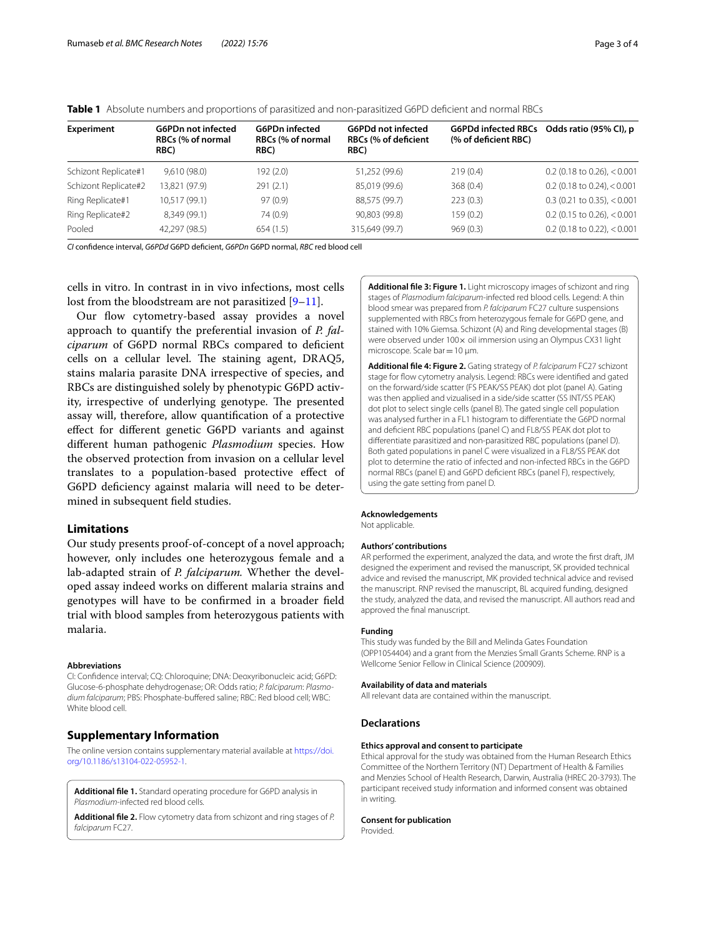| <b>Experiment</b>    | <b>G6PDn not infected</b><br>RBCs (% of normal<br>RBC) | <b>G6PDn</b> infected<br>RBCs (% of normal<br>RBC) | <b>G6PDd not infected</b><br><b>RBCs (% of deficient</b><br>RBC) | <b>G6PDd infected RBCs</b><br>(% of deficient RBC) | Odds ratio (95% CI), p        |
|----------------------|--------------------------------------------------------|----------------------------------------------------|------------------------------------------------------------------|----------------------------------------------------|-------------------------------|
| Schizont Replicate#1 | 9,610(98.0)                                            | 192 (2.0)                                          | 51,252 (99.6)                                                    | 219(0.4)                                           | $0.2$ (0.18 to 0.26), < 0.001 |
| Schizont Replicate#2 | 13,821 (97.9)                                          | 291(2.1)                                           | 85,019 (99.6)                                                    | 368(0.4)                                           | $0.2$ (0.18 to 0.24), < 0.001 |
| Ring Replicate#1     | 10,517 (99.1)                                          | 97(0.9)                                            | 88.575 (99.7)                                                    | 223(0.3)                                           | $0.3$ (0.21 to 0.35), < 0.001 |
| Ring Replicate#2     | 8,349 (99.1)                                           | 74 (0.9)                                           | 90,803 (99.8)                                                    | 159 (0.2)                                          | $0.2$ (0.15 to 0.26), < 0.001 |
| Pooled               | 42,297 (98.5)                                          | 654(1.5)                                           | 315,649 (99.7)                                                   | 969(0.3)                                           | $0.2$ (0.18 to 0.22), < 0.001 |

<span id="page-3-3"></span>**Table 1** Absolute numbers and proportions of parasitized and non-parasitized G6PD deficient and normal RBCs

*CI* confdence interval, *G6PDd* G6PD defcient, *G6PDn* G6PD normal, *RBC* red blood cell

cells in vitro. In contrast in in vivo infections, most cells lost from the bloodstream are not parasitized  $[9-11]$  $[9-11]$  $[9-11]$ .

Our flow cytometry-based assay provides a novel approach to quantify the preferential invasion of *P. fal*ciparum of G6PD normal RBCs compared to deficient cells on a cellular level. The staining agent, DRAQ5, stains malaria parasite DNA irrespective of species, and RBCs are distinguished solely by phenotypic G6PD activity, irrespective of underlying genotype. The presented assay will, therefore, allow quantifcation of a protective efect for diferent genetic G6PD variants and against diferent human pathogenic *Plasmodium* species. How the observed protection from invasion on a cellular level translates to a population-based protective efect of G6PD defciency against malaria will need to be determined in subsequent feld studies.

## **Limitations**

Our study presents proof-of-concept of a novel approach; however, only includes one heterozygous female and a lab-adapted strain of *P. falciparum.* Whether the developed assay indeed works on diferent malaria strains and genotypes will have to be confrmed in a broader feld trial with blood samples from heterozygous patients with malaria.

#### **Abbreviations**

CI: Confdence interval; CQ: Chloroquine; DNA: Deoxyribonucleic acid; G6PD: Glucose-6-phosphate dehydrogenase; OR: Odds ratio; *P. falciparum*: *Plasmo*dium falciparum; PBS: Phosphate-buffered saline; RBC: Red blood cell; WBC: White blood cell.

### **Supplementary Information**

The online version contains supplementary material available at [https://doi.](https://doi.org/10.1186/s13104-022-05952-1) [org/10.1186/s13104-022-05952-1](https://doi.org/10.1186/s13104-022-05952-1).

<span id="page-3-4"></span><span id="page-3-1"></span>**Additional fle 1.** Standard operating procedure for G6PD analysis in *Plasmodium*-infected red blood cells.

<span id="page-3-0"></span>**Additional fle 2.** Flow cytometry data from schizont and ring stages of *P. falciparum* FC27.

**Additional fle 3: Figure 1.** Light microscopy images of schizont and ring stages of *Plasmodium falciparum*-infected red blood cells. Legend: A thin blood smear was prepared from *P. falciparum* FC27 culture suspensions supplemented with RBCs from heterozygous female for G6PD gene, and stained with 10% Giemsa. Schizont (A) and Ring developmental stages (B) were observed under 100 x oil immersion using an Olympus CX31 light microscope. Scale bar=10 μm.

<span id="page-3-2"></span>**Additional fle 4: Figure 2.** Gating strategy of *P. falciparum* FC27 schizont stage for flow cytometry analysis. Legend: RBCs were identified and gated on the forward/side scatter (FS PEAK/SS PEAK) dot plot (panel A). Gating was then applied and vizualised in a side/side scatter (SS INT/SS PEAK) dot plot to select single cells (panel B). The gated single cell population was analysed further in a FL1 histogram to diferentiate the G6PD normal and defcient RBC populations (panel C) and FL8/SS PEAK dot plot to diferentiate parasitized and non-parasitized RBC populations (panel D). Both gated populations in panel C were visualized in a FL8/SS PEAK dot plot to determine the ratio of infected and non-infected RBCs in the G6PD normal RBCs (panel E) and G6PD defcient RBCs (panel F), respectively, using the gate setting from panel D.

#### **Acknowledgements**

Not applicable.

#### **Authors' contributions**

AR performed the experiment, analyzed the data, and wrote the frst draft, JM designed the experiment and revised the manuscript, SK provided technical advice and revised the manuscript, MK provided technical advice and revised the manuscript. RNP revised the manuscript, BL acquired funding, designed the study, analyzed the data, and revised the manuscript. All authors read and approved the fnal manuscript.

#### **Funding**

This study was funded by the Bill and Melinda Gates Foundation (OPP1054404) and a grant from the Menzies Small Grants Scheme. RNP is a Wellcome Senior Fellow in Clinical Science (200909).

#### **Availability of data and materials**

All relevant data are contained within the manuscript.

#### **Declarations**

#### **Ethics approval and consent to participate**

Ethical approval for the study was obtained from the Human Research Ethics Committee of the Northern Territory (NT) Department of Health & Families and Menzies School of Health Research, Darwin, Australia (HREC 20-3793). The participant received study information and informed consent was obtained in writing.

#### **Consent for publication**

Provided.